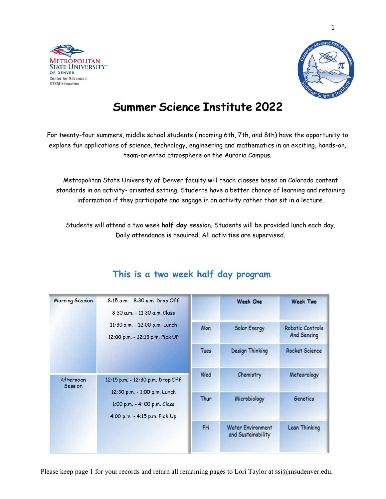



# **Summer Science Institute 2022**

For twenty-four summers, middle school students (incoming 6th, 7th, and 8th) have the opportunity to explore fun applications of science, technology, engineering and mathematics in an exciting, hands-on, team-oriented atmosphere on the Auraria Campus.

Metropolitan State University of Denver faculty will teach classes based on Colorado content standards in an activity- oriented setting. Students have a better chance of learning and retaining information if they participate and engage in an activity rather than sit in a lecture.

Students will attend a two week **half day** session. Students will be provided lunch each day. Daily attendance is required. All activities are supervised.

| Morning Session      | 8:15 a.m. - 8:30 a.m. Drop Off   |      | <b>Week One</b>                                | <b>Week Two</b>       |
|----------------------|----------------------------------|------|------------------------------------------------|-----------------------|
|                      | 8:30 a.m. - 11:30 a.m. Class     |      |                                                |                       |
|                      | 11:30 a.m. - 12:00 p.m. Lunch    | Mon  | Solar Energy                                   | Robotic Controls      |
|                      | 12:00 p.m. - 12:15 p.m. Pick UP  |      |                                                | And Sensing           |
|                      |                                  | Tues | <b>Design Thinking</b>                         | <b>Rocket Science</b> |
|                      |                                  | Wed  | Chemistry                                      | Meteorology           |
| Afternoon<br>Session | 12:15 p.m. - 12:30 p.m. Drop Off |      |                                                |                       |
|                      | 12:30 p.m. - 1:00 p.m. Lunch     | Thur | Microbiology                                   | Genetics              |
|                      | 1:00 p.m. - 4: 00 p.m. Class     |      |                                                |                       |
|                      | 4:00 p.m. - 4:15 p.m. Pick Up    |      |                                                |                       |
|                      |                                  | Fri  | <b>Water Environment</b><br>and Sustainability | Lean Thinking         |

# **This is a two week half day program**

Please keep page 1 for your records and return all remaining pages to Lori Taylor at  $\text{ssi}(\partial \text{m} \text{student})$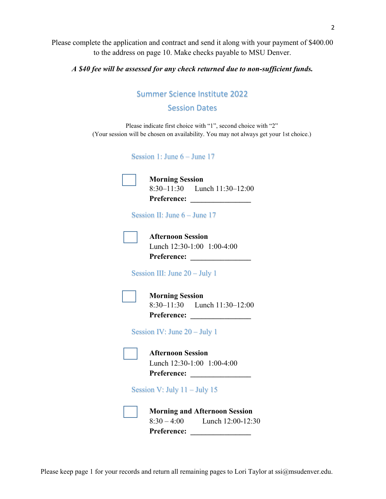Please complete the application and contract and send it along with your payment of \$400.00 to the address on page 10. Make checks payable to MSU Denver.

*A \$40 fee will be assessed for any check returned due to non-sufficient funds.*

## Summer Science Institute 2022 Session Dates

Please indicate first choice with "1", second choice with "2" (Your session will be chosen on availability. You may not always get your 1st choice.)

Session 1: June 6 – June 17

| <b>Morning Session</b> |                                  |
|------------------------|----------------------------------|
|                        | $8:30-11:30$ Lunch $11:30-12:00$ |
| <b>Preference:</b>     |                                  |

Session II: June 6 – June 17

**Afternoon Session** Lunch 12:30-1:00 1:00-4:00 **Preference: \_\_\_\_\_\_\_\_\_\_\_\_\_\_\_\_**

Session III: June 20 – July 1



#### **Morning Session**

8:30–11:30 Lunch 11:30–12:00 **Preference: \_\_\_\_\_\_\_\_\_\_\_\_\_\_\_\_**

Session IV: June 20 – July 1

#### **Afternoon Session**

Lunch 12:30-1:00 1:00-4:00

**Preference: \_\_\_\_\_\_\_\_\_\_\_\_\_\_\_\_**

Session V: July 11 – July 15

|                    | <b>Morning and Afternoon Session</b> |
|--------------------|--------------------------------------|
| $8:30 - 4:00$      | Lunch 12:00-12:30                    |
| <b>Preference:</b> |                                      |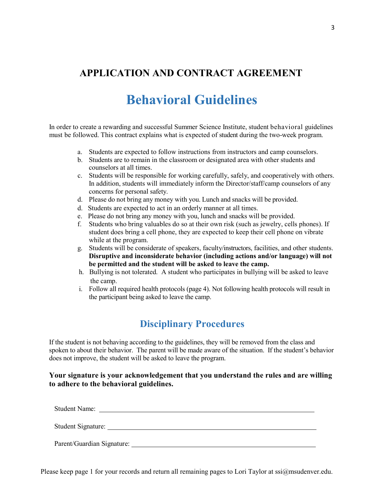# **APPLICATION AND CONTRACT AGREEMENT**

# **Behavioral Guidelines**

In order to create a rewarding and successful Summer Science Institute, student behavioral guidelines must be followed. This contract explains what is expected of student during the two-week program.

- a. Students are expected to follow instructions from instructors and camp counselors.
- b. Students are to remain in the classroom or designated area with other students and counselors at all times.
- c. Students will be responsible for working carefully, safely, and cooperatively with others. In addition, students will immediately inform the Director/staff/camp counselors of any concerns for personal safety.
- d. Please do not bring any money with you. Lunch and snacks will be provided.
- d. Students are expected to act in an orderly manner at all times.
- e. Please do not bring any money with you, lunch and snacks will be provided.
- f. Students who bring valuables do so at their own risk (such as jewelry, cells phones). If student does bring a cell phone, they are expected to keep their cell phone on vibrate while at the program.
- g. Students will be considerate of speakers, faculty/instructors, facilities, and other students. **Disruptive and inconsiderate behavior (including actions and/or language) will not be permitted and the student will be asked to leave the camp.**
- h. Bullying is not tolerated. A student who participates in bullying will be asked to leave the camp.
- i. Follow all required health protocols (page 4). Not following health protocols will result in the participant being asked to leave the camp.

# **Disciplinary Procedures**

If the student is not behaving according to the guidelines, they will be removed from the class and spoken to about their behavior. The parent will be made aware of the situation. If the student's behavior does not improve, the student will be asked to leave the program.

#### **Your signature is your acknowledgement that you understand the rules and are willing to adhere to the behavioral guidelines.**

Student Name:

Student Signature:

Parent/Guardian Signature: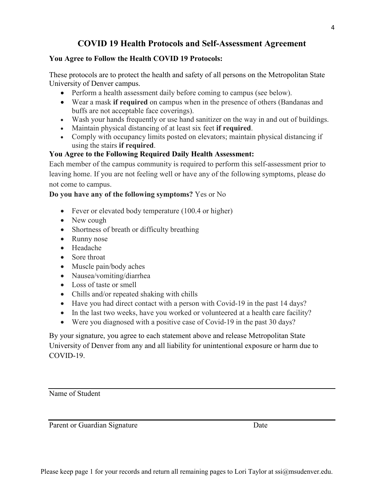## **COVID 19 Health Protocols and Self-Assessment Agreement**

#### **You Agree to Follow the Health COVID 19 Protocols:**

These protocols are to protect the health and safety of all persons on the Metropolitan State University of Denver campus.

- Perform a health assessment daily before coming to campus (see below).
- Wear a mask **if required** on campus when in the presence of others (Bandanas and buffs are not acceptable face coverings).
- Wash your hands frequently or use hand sanitizer on the way in and out of buildings.
- Maintain physical distancing of at least six feet **if required**.
- Comply with occupancy limits posted on elevators; maintain physical distancing if using the stairs **if required**.

#### **You Agree to the Following Required Daily Health Assessment:**

Each member of the campus community is required to perform this self-assessment prior to leaving home. If you are not feeling well or have any of the following symptoms, please do not come to campus.

#### **Do you have any of the following symptoms?** Yes or No

- Fever or elevated body temperature (100.4 or higher)
- New cough
- Shortness of breath or difficulty breathing
- Runny nose
- Headache
- Sore throat
- Muscle pain/body aches
- Nausea/vomiting/diarrhea
- Loss of taste or smell
- Chills and/or repeated shaking with chills
- Have you had direct contact with a person with Covid-19 in the past 14 days?
- In the last two weeks, have you worked or volunteered at a health care facility?
- Were you diagnosed with a positive case of Covid-19 in the past 30 days?

By your signature, you agree to each statement above and release Metropolitan State University of Denver from any and all liability for unintentional exposure or harm due to COVID-19.

Name of Student

Parent or Guardian Signature Date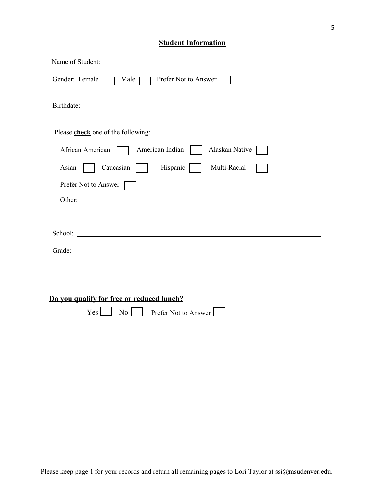### **Student Information**

| Name of Student:                                                                                                                                                                                                               |
|--------------------------------------------------------------------------------------------------------------------------------------------------------------------------------------------------------------------------------|
| Male $\Box$ Prefer Not to Answer<br>Gender: Female                                                                                                                                                                             |
| Birthdate: No. 1996. The Second State of the Second State of the Second State of the Second State of the Second State of the Second State of the Second State of the Second State of the Second State of the Second State of t |
| Please check one of the following:                                                                                                                                                                                             |
| American Indian<br>Alaskan Native<br>African American                                                                                                                                                                          |
| Hispanic<br>Multi-Racial<br>Caucasian<br>Asian                                                                                                                                                                                 |
| Prefer Not to Answer                                                                                                                                                                                                           |
|                                                                                                                                                                                                                                |
|                                                                                                                                                                                                                                |
| School: <u>Contract Communication</u>                                                                                                                                                                                          |
|                                                                                                                                                                                                                                |
|                                                                                                                                                                                                                                |
|                                                                                                                                                                                                                                |
| Do vou qualify for free or reduced lunch?                                                                                                                                                                                      |
| Yes <sup> </sup><br>N <sub>o</sub><br>Prefer Not to Answer                                                                                                                                                                     |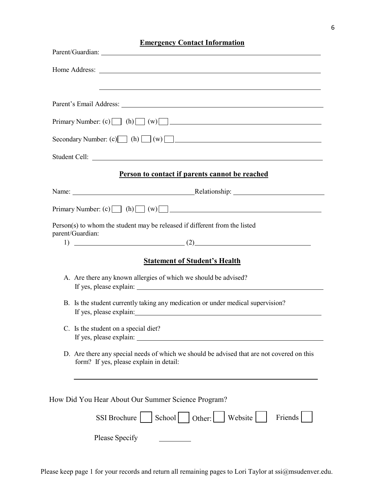| <b>Emergency Contact Information</b>                                                                                                 |
|--------------------------------------------------------------------------------------------------------------------------------------|
| Parent/Guardian:                                                                                                                     |
|                                                                                                                                      |
|                                                                                                                                      |
|                                                                                                                                      |
|                                                                                                                                      |
| Primary Number: (c) $\Box$ (h) $\Box$ (w) $\Box$                                                                                     |
| Secondary Number: $(c)$ (h) (w) $\Box$                                                                                               |
|                                                                                                                                      |
| Person to contact if parents cannot be reached                                                                                       |
|                                                                                                                                      |
| Primary Number: (c) $\boxed{\phantom{a}}$ (h) $\boxed{\phantom{a}}$ (w) $\boxed{\phantom{a}}$                                        |
| Person(s) to whom the student may be released if different from the listed<br>parent/Guardian:                                       |
| $\left( 1\right)$ (2)                                                                                                                |
| <b>Statement of Student's Health</b>                                                                                                 |
| A. Are there any known allergies of which we should be advised?                                                                      |
| B. Is the student currently taking any medication or under medical supervision?<br>If yes, please explain:                           |
| C. Is the student on a special diet?<br>If yes, please explain:                                                                      |
| D. Are there any special needs of which we should be advised that are not covered on this<br>form? If yes, please explain in detail: |
|                                                                                                                                      |
| How Did You Hear About Our Summer Science Program?                                                                                   |
| School Other:   Website<br>Friends<br>SSI Brochure                                                                                   |
| Please Specify                                                                                                                       |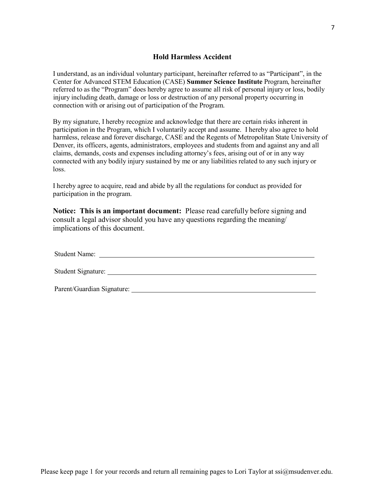#### **Hold Harmless Accident**

I understand, as an individual voluntary participant, hereinafter referred to as "Participant", in the Center for Advanced STEM Education (CASE) **Summer Science Institute** Program, hereinafter referred to as the "Program" does hereby agree to assume all risk of personal injury or loss, bodily injury including death, damage or loss or destruction of any personal property occurring in connection with or arising out of participation of the Program.

By my signature, I hereby recognize and acknowledge that there are certain risks inherent in participation in the Program, which I voluntarily accept and assume. I hereby also agree to hold harmless, release and forever discharge, CASE and the Regents of Metropolitan State University of Denver, its officers, agents, administrators, employees and students from and against any and all claims, demands, costs and expenses including attorney's fees, arising out of or in any way connected with any bodily injury sustained by me or any liabilities related to any such injury or loss.

I hereby agree to acquire, read and abide by all the regulations for conduct as provided for participation in the program.

**Notice: This is an important document:** Please read carefully before signing and consult a legal advisor should you have any questions regarding the meaning/ implications of this document.

Student Name:

Student Signature:

Parent/Guardian Signature: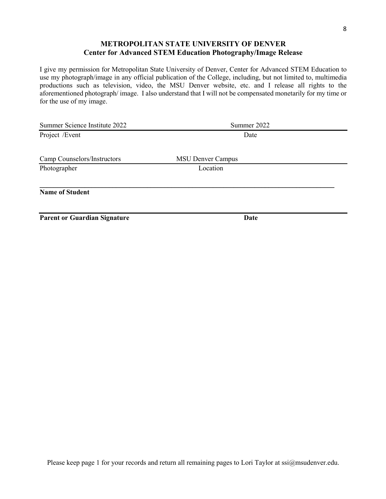#### **METROPOLITAN STATE UNIVERSITY OF DENVER Center for Advanced STEM Education Photography/Image Release**

I give my permission for Metropolitan State University of Denver, Center for Advanced STEM Education to use my photograph/image in any official publication of the College, including, but not limited to, multimedia productions such as television, video, the MSU Denver website, etc. and I release all rights to the aforementioned photograph/ image. I also understand that I will not be compensated monetarily for my time or for the use of my image.

| Summer Science Institute 2022 | Summer 2022              |  |
|-------------------------------|--------------------------|--|
| Project /Event                | Date                     |  |
| Camp Counselors/Instructors   | <b>MSU Denver Campus</b> |  |
| Photographer                  | Location                 |  |
| <b>Name of Student</b>        |                          |  |

| <b>Parent or Guardian Signature</b> | Date |
|-------------------------------------|------|
|                                     |      |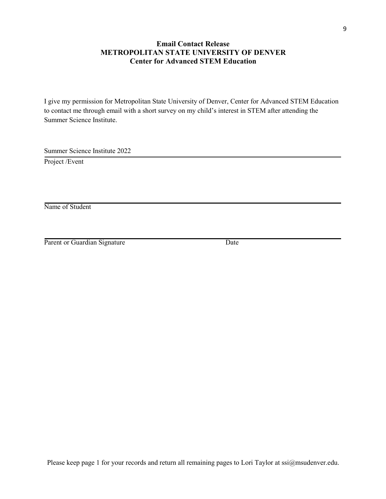#### **Email Contact Release METROPOLITAN STATE UNIVERSITY OF DENVER Center for Advanced STEM Education**

I give my permission for Metropolitan State University of Denver, Center for Advanced STEM Education to contact me through email with a short survey on my child's interest in STEM after attending the Summer Science Institute.

Summer Science Institute 2022

Project /Event

Name of Student

Parent or Guardian Signature Date